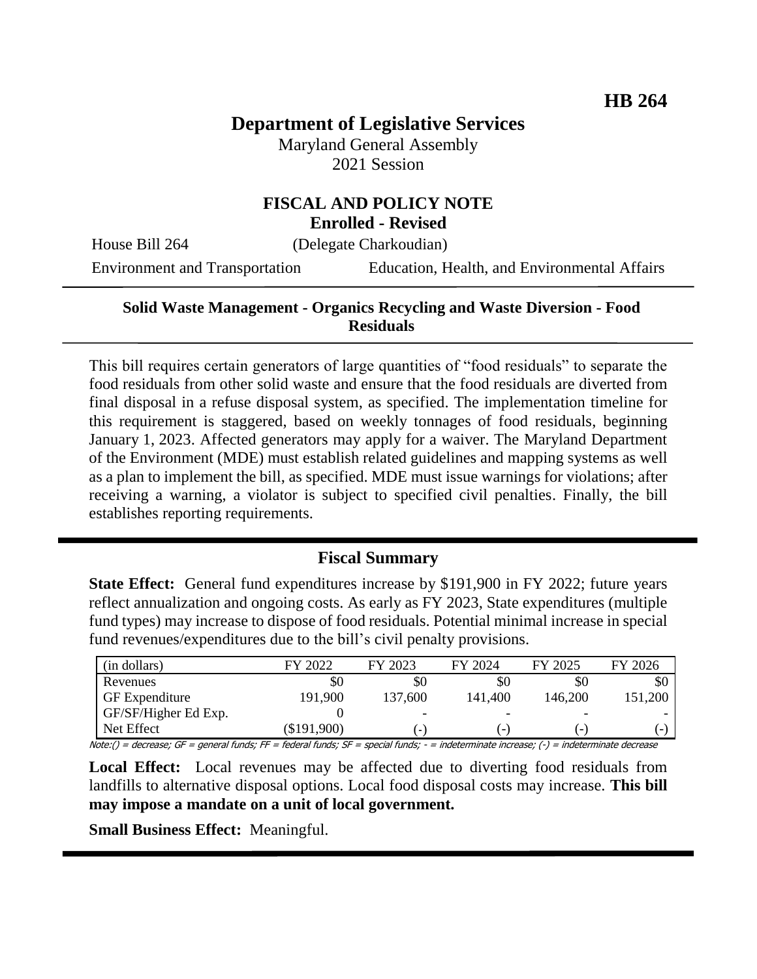# **Department of Legislative Services**

Maryland General Assembly 2021 Session

# **FISCAL AND POLICY NOTE**

**Enrolled - Revised**

House Bill 264 (Delegate Charkoudian)

Environment and Transportation Education, Health, and Environmental Affairs

# **Solid Waste Management - Organics Recycling and Waste Diversion - Food Residuals**

This bill requires certain generators of large quantities of "food residuals" to separate the food residuals from other solid waste and ensure that the food residuals are diverted from final disposal in a refuse disposal system, as specified. The implementation timeline for this requirement is staggered, based on weekly tonnages of food residuals, beginning January 1, 2023. Affected generators may apply for a waiver. The Maryland Department of the Environment (MDE) must establish related guidelines and mapping systems as well as a plan to implement the bill, as specified. MDE must issue warnings for violations; after receiving a warning, a violator is subject to specified civil penalties. Finally, the bill establishes reporting requirements.

#### **Fiscal Summary**

**State Effect:** General fund expenditures increase by \$191,900 in FY 2022; future years reflect annualization and ongoing costs. As early as FY 2023, State expenditures (multiple fund types) may increase to dispose of food residuals. Potential minimal increase in special fund revenues/expenditures due to the bill's civil penalty provisions.

| (in dollars)          | FY 2022       | FY 2023                  | FY 2024                  | FY 2025                  | FY 2026 |
|-----------------------|---------------|--------------------------|--------------------------|--------------------------|---------|
| Revenues              | \$0           | \$0                      | \$0                      | \$C                      | \$0     |
| <b>GF</b> Expenditure | 191,900       | 137,600                  | 141,400                  | 146,200                  | 151,200 |
| GF/SF/Higher Ed Exp.  |               | $\overline{\phantom{0}}$ | $\overline{\phantom{a}}$ | $\overline{\phantom{a}}$ |         |
| Net Effect            | $(\$191,900)$ | ٠                        | $\overline{\phantom{0}}$ | $\overline{\phantom{0}}$ | - 1     |

Note:() = decrease; GF = general funds; FF = federal funds; SF = special funds; - = indeterminate increase; (-) = indeterminate decrease

Local Effect: Local revenues may be affected due to diverting food residuals from landfills to alternative disposal options. Local food disposal costs may increase. **This bill may impose a mandate on a unit of local government.**

**Small Business Effect:** Meaningful.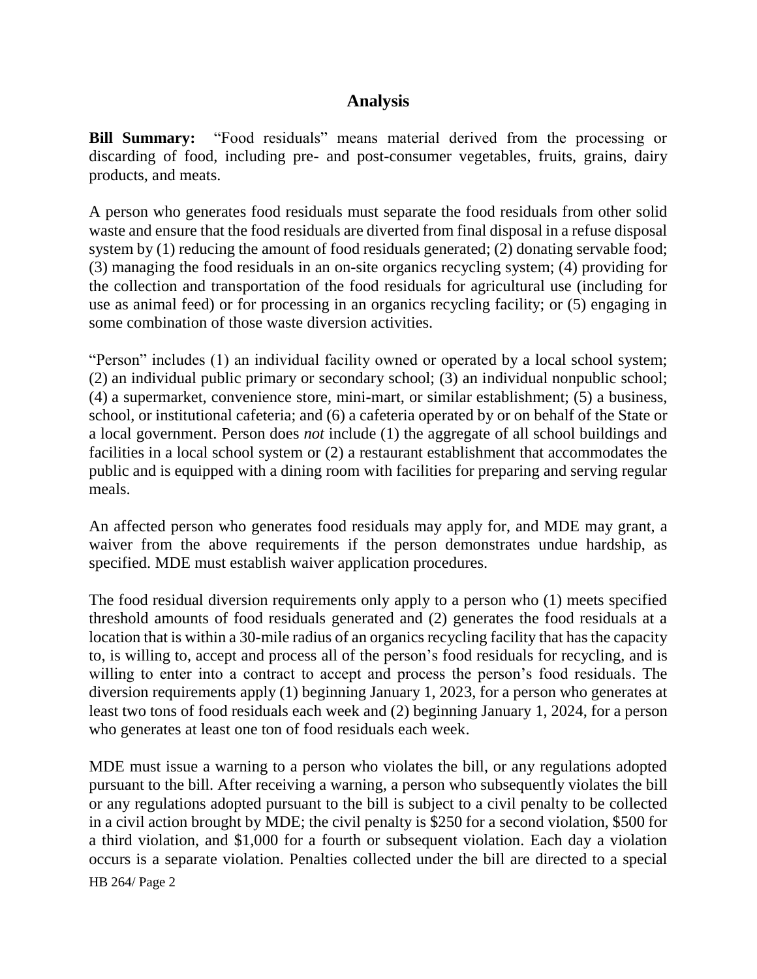# **Analysis**

**Bill Summary:** "Food residuals" means material derived from the processing or discarding of food, including pre- and post-consumer vegetables, fruits, grains, dairy products, and meats.

A person who generates food residuals must separate the food residuals from other solid waste and ensure that the food residuals are diverted from final disposal in a refuse disposal system by (1) reducing the amount of food residuals generated; (2) donating servable food; (3) managing the food residuals in an on-site organics recycling system; (4) providing for the collection and transportation of the food residuals for agricultural use (including for use as animal feed) or for processing in an organics recycling facility; or (5) engaging in some combination of those waste diversion activities.

"Person" includes (1) an individual facility owned or operated by a local school system; (2) an individual public primary or secondary school; (3) an individual nonpublic school; (4) a supermarket, convenience store, mini-mart, or similar establishment; (5) a business, school, or institutional cafeteria; and (6) a cafeteria operated by or on behalf of the State or a local government. Person does *not* include (1) the aggregate of all school buildings and facilities in a local school system or (2) a restaurant establishment that accommodates the public and is equipped with a dining room with facilities for preparing and serving regular meals.

An affected person who generates food residuals may apply for, and MDE may grant, a waiver from the above requirements if the person demonstrates undue hardship, as specified. MDE must establish waiver application procedures.

The food residual diversion requirements only apply to a person who (1) meets specified threshold amounts of food residuals generated and (2) generates the food residuals at a location that is within a 30-mile radius of an organics recycling facility that has the capacity to, is willing to, accept and process all of the person's food residuals for recycling, and is willing to enter into a contract to accept and process the person's food residuals. The diversion requirements apply (1) beginning January 1, 2023, for a person who generates at least two tons of food residuals each week and (2) beginning January 1, 2024, for a person who generates at least one ton of food residuals each week.

HB 264/ Page 2 MDE must issue a warning to a person who violates the bill, or any regulations adopted pursuant to the bill. After receiving a warning, a person who subsequently violates the bill or any regulations adopted pursuant to the bill is subject to a civil penalty to be collected in a civil action brought by MDE; the civil penalty is \$250 for a second violation, \$500 for a third violation, and \$1,000 for a fourth or subsequent violation. Each day a violation occurs is a separate violation. Penalties collected under the bill are directed to a special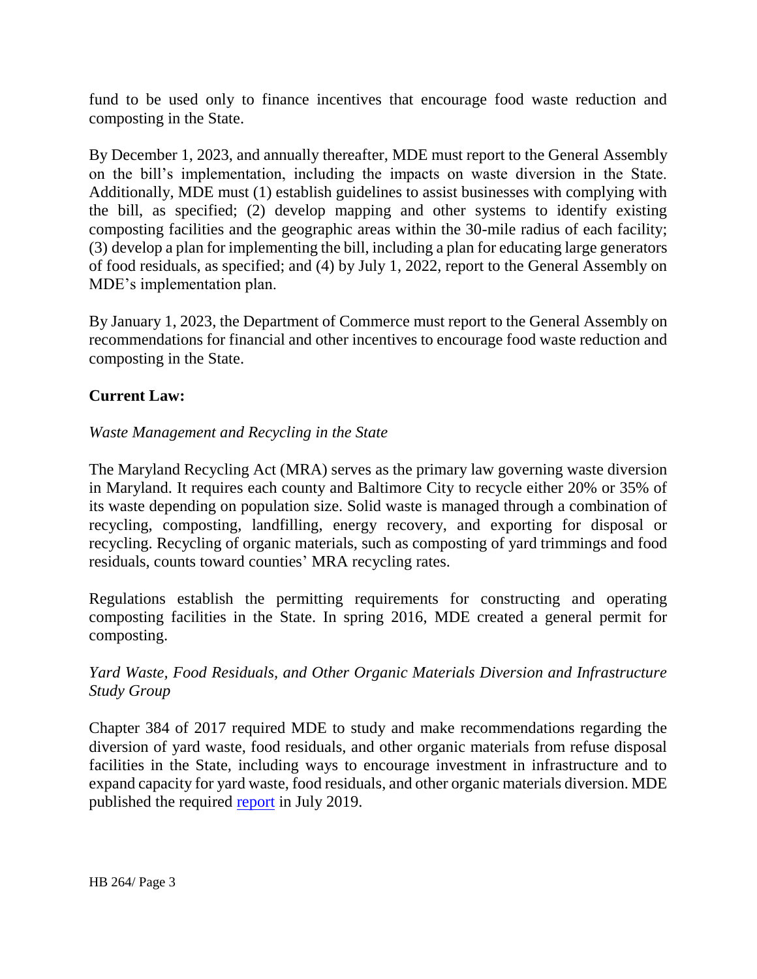fund to be used only to finance incentives that encourage food waste reduction and composting in the State.

By December 1, 2023, and annually thereafter, MDE must report to the General Assembly on the bill's implementation, including the impacts on waste diversion in the State. Additionally, MDE must (1) establish guidelines to assist businesses with complying with the bill, as specified; (2) develop mapping and other systems to identify existing composting facilities and the geographic areas within the 30-mile radius of each facility; (3) develop a plan for implementing the bill, including a plan for educating large generators of food residuals, as specified; and (4) by July 1, 2022, report to the General Assembly on MDE's implementation plan.

By January 1, 2023, the Department of Commerce must report to the General Assembly on recommendations for financial and other incentives to encourage food waste reduction and composting in the State.

# **Current Law:**

#### *Waste Management and Recycling in the State*

The Maryland Recycling Act (MRA) serves as the primary law governing waste diversion in Maryland. It requires each county and Baltimore City to recycle either 20% or 35% of its waste depending on population size. Solid waste is managed through a combination of recycling, composting, landfilling, energy recovery, and exporting for disposal or recycling. Recycling of organic materials, such as composting of yard trimmings and food residuals, counts toward counties' MRA recycling rates.

Regulations establish the permitting requirements for constructing and operating composting facilities in the State. In spring 2016, MDE created a general permit for composting.

# *Yard Waste, Food Residuals, and Other Organic Materials Diversion and Infrastructure Study Group*

Chapter 384 of 2017 required MDE to study and make recommendations regarding the diversion of yard waste, food residuals, and other organic materials from refuse disposal facilities in the State, including ways to encourage investment in infrastructure and to expand capacity for yard waste, food residuals, and other organic materials diversion. MDE published the required [report](https://mde.maryland.gov/programs/LAND/RMP/Documents/HB%20171%20final%20report.pdf) in July 2019.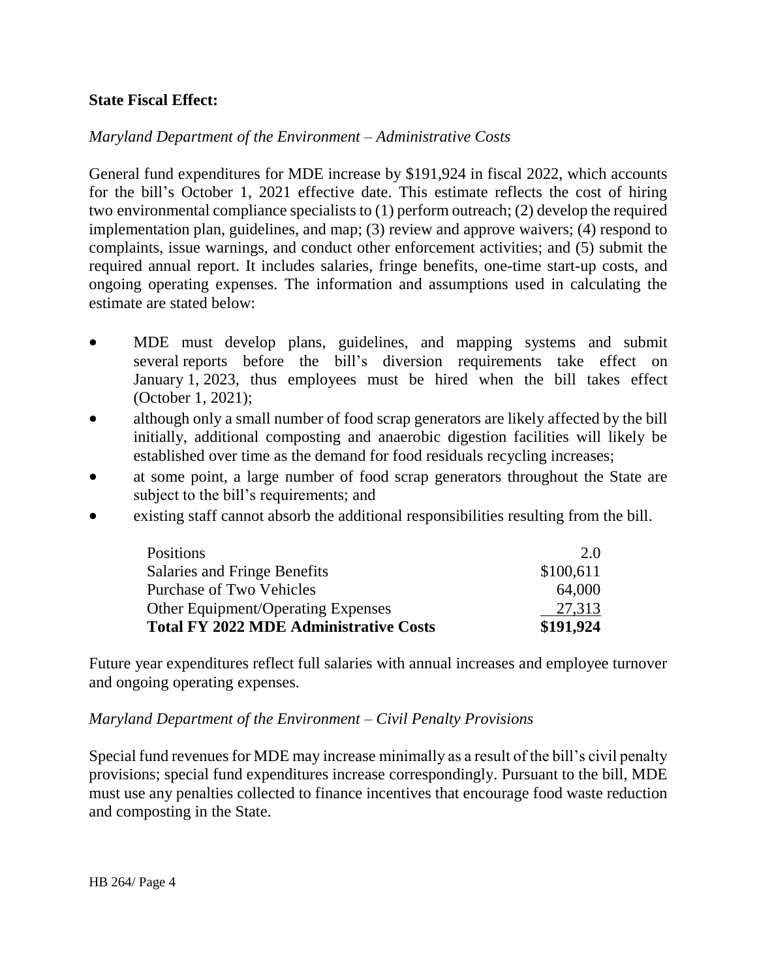#### **State Fiscal Effect:**

#### *Maryland Department of the Environment – Administrative Costs*

General fund expenditures for MDE increase by \$191,924 in fiscal 2022, which accounts for the bill's October 1, 2021 effective date. This estimate reflects the cost of hiring two environmental compliance specialists to (1) perform outreach; (2) develop the required implementation plan, guidelines, and map; (3) review and approve waivers; (4) respond to complaints, issue warnings, and conduct other enforcement activities; and (5) submit the required annual report. It includes salaries, fringe benefits, one-time start-up costs, and ongoing operating expenses. The information and assumptions used in calculating the estimate are stated below:

- MDE must develop plans, guidelines, and mapping systems and submit several reports before the bill's diversion requirements take effect on January 1, 2023, thus employees must be hired when the bill takes effect (October 1, 2021);
- although only a small number of food scrap generators are likely affected by the bill initially, additional composting and anaerobic digestion facilities will likely be established over time as the demand for food residuals recycling increases;
- at some point, a large number of food scrap generators throughout the State are subject to the bill's requirements; and
- existing staff cannot absorb the additional responsibilities resulting from the bill.

| Positions                                     | 2.0       |
|-----------------------------------------------|-----------|
| Salaries and Fringe Benefits                  | \$100,611 |
| <b>Purchase of Two Vehicles</b>               | 64,000    |
| <b>Other Equipment/Operating Expenses</b>     | 27,313    |
| <b>Total FY 2022 MDE Administrative Costs</b> | \$191,924 |

Future year expenditures reflect full salaries with annual increases and employee turnover and ongoing operating expenses.

#### *Maryland Department of the Environment – Civil Penalty Provisions*

Special fund revenues for MDE may increase minimally as a result of the bill's civil penalty provisions; special fund expenditures increase correspondingly. Pursuant to the bill, MDE must use any penalties collected to finance incentives that encourage food waste reduction and composting in the State.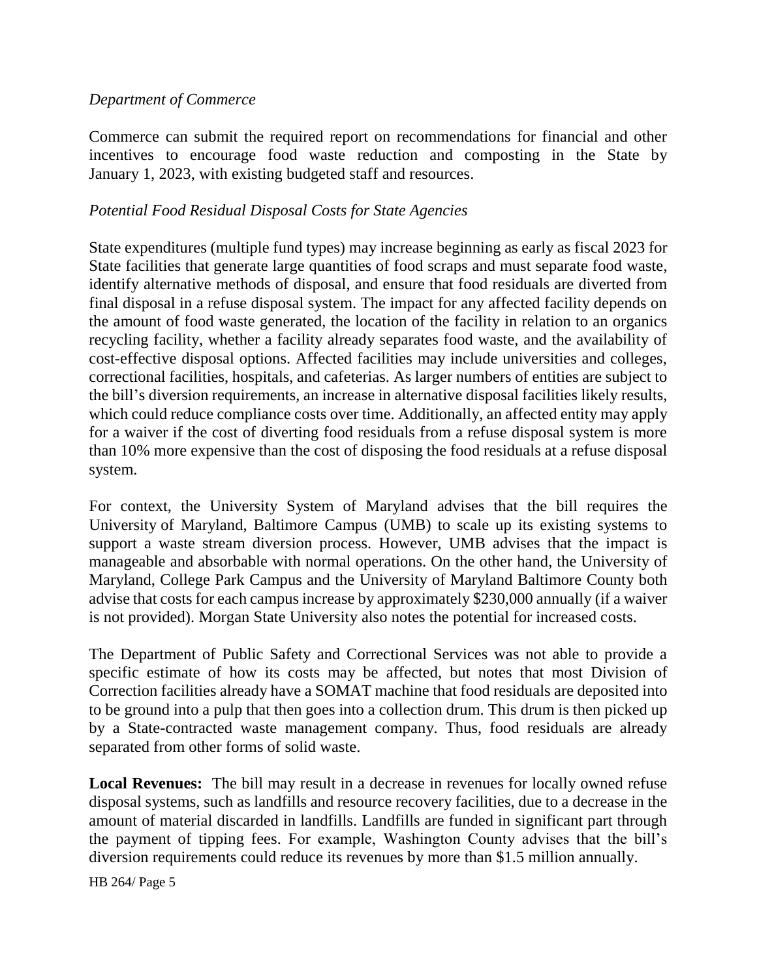#### *Department of Commerce*

Commerce can submit the required report on recommendations for financial and other incentives to encourage food waste reduction and composting in the State by January 1, 2023, with existing budgeted staff and resources.

#### *Potential Food Residual Disposal Costs for State Agencies*

State expenditures (multiple fund types) may increase beginning as early as fiscal 2023 for State facilities that generate large quantities of food scraps and must separate food waste, identify alternative methods of disposal, and ensure that food residuals are diverted from final disposal in a refuse disposal system. The impact for any affected facility depends on the amount of food waste generated, the location of the facility in relation to an organics recycling facility, whether a facility already separates food waste, and the availability of cost-effective disposal options. Affected facilities may include universities and colleges, correctional facilities, hospitals, and cafeterias. As larger numbers of entities are subject to the bill's diversion requirements, an increase in alternative disposal facilities likely results, which could reduce compliance costs over time. Additionally, an affected entity may apply for a waiver if the cost of diverting food residuals from a refuse disposal system is more than 10% more expensive than the cost of disposing the food residuals at a refuse disposal system.

For context, the University System of Maryland advises that the bill requires the University of Maryland, Baltimore Campus (UMB) to scale up its existing systems to support a waste stream diversion process. However, UMB advises that the impact is manageable and absorbable with normal operations. On the other hand, the University of Maryland, College Park Campus and the University of Maryland Baltimore County both advise that costs for each campus increase by approximately \$230,000 annually (if a waiver is not provided). Morgan State University also notes the potential for increased costs.

The Department of Public Safety and Correctional Services was not able to provide a specific estimate of how its costs may be affected, but notes that most Division of Correction facilities already have a SOMAT machine that food residuals are deposited into to be ground into a pulp that then goes into a collection drum. This drum is then picked up by a State-contracted waste management company. Thus, food residuals are already separated from other forms of solid waste.

**Local Revenues:** The bill may result in a decrease in revenues for locally owned refuse disposal systems, such as landfills and resource recovery facilities, due to a decrease in the amount of material discarded in landfills. Landfills are funded in significant part through the payment of tipping fees. For example, Washington County advises that the bill's diversion requirements could reduce its revenues by more than \$1.5 million annually.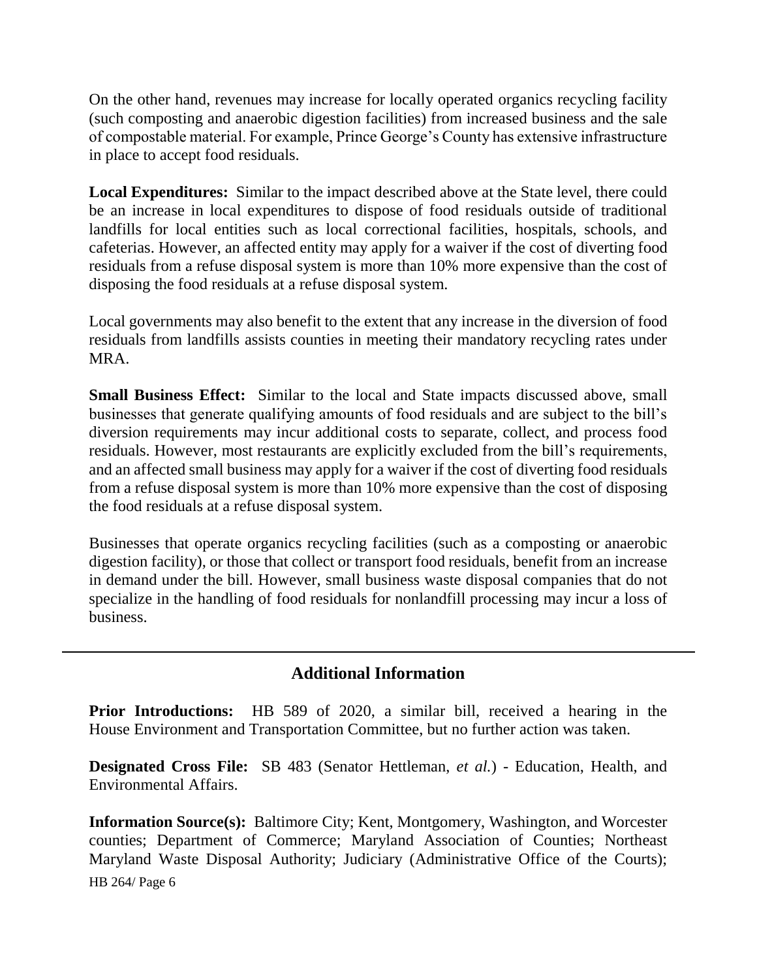On the other hand, revenues may increase for locally operated organics recycling facility (such composting and anaerobic digestion facilities) from increased business and the sale of compostable material. For example, Prince George's County has extensive infrastructure in place to accept food residuals.

**Local Expenditures:** Similar to the impact described above at the State level, there could be an increase in local expenditures to dispose of food residuals outside of traditional landfills for local entities such as local correctional facilities, hospitals, schools, and cafeterias. However, an affected entity may apply for a waiver if the cost of diverting food residuals from a refuse disposal system is more than 10% more expensive than the cost of disposing the food residuals at a refuse disposal system.

Local governments may also benefit to the extent that any increase in the diversion of food residuals from landfills assists counties in meeting their mandatory recycling rates under MRA.

**Small Business Effect:** Similar to the local and State impacts discussed above, small businesses that generate qualifying amounts of food residuals and are subject to the bill's diversion requirements may incur additional costs to separate, collect, and process food residuals. However, most restaurants are explicitly excluded from the bill's requirements, and an affected small business may apply for a waiver if the cost of diverting food residuals from a refuse disposal system is more than 10% more expensive than the cost of disposing the food residuals at a refuse disposal system.

Businesses that operate organics recycling facilities (such as a composting or anaerobic digestion facility), or those that collect or transport food residuals, benefit from an increase in demand under the bill. However, small business waste disposal companies that do not specialize in the handling of food residuals for nonlandfill processing may incur a loss of business.

# **Additional Information**

**Prior Introductions:** HB 589 of 2020, a similar bill, received a hearing in the House Environment and Transportation Committee, but no further action was taken.

**Designated Cross File:** SB 483 (Senator Hettleman, *et al.*) - Education, Health, and Environmental Affairs.

HB 264/ Page 6 **Information Source(s):** Baltimore City; Kent, Montgomery, Washington, and Worcester counties; Department of Commerce; Maryland Association of Counties; Northeast Maryland Waste Disposal Authority; Judiciary (Administrative Office of the Courts);